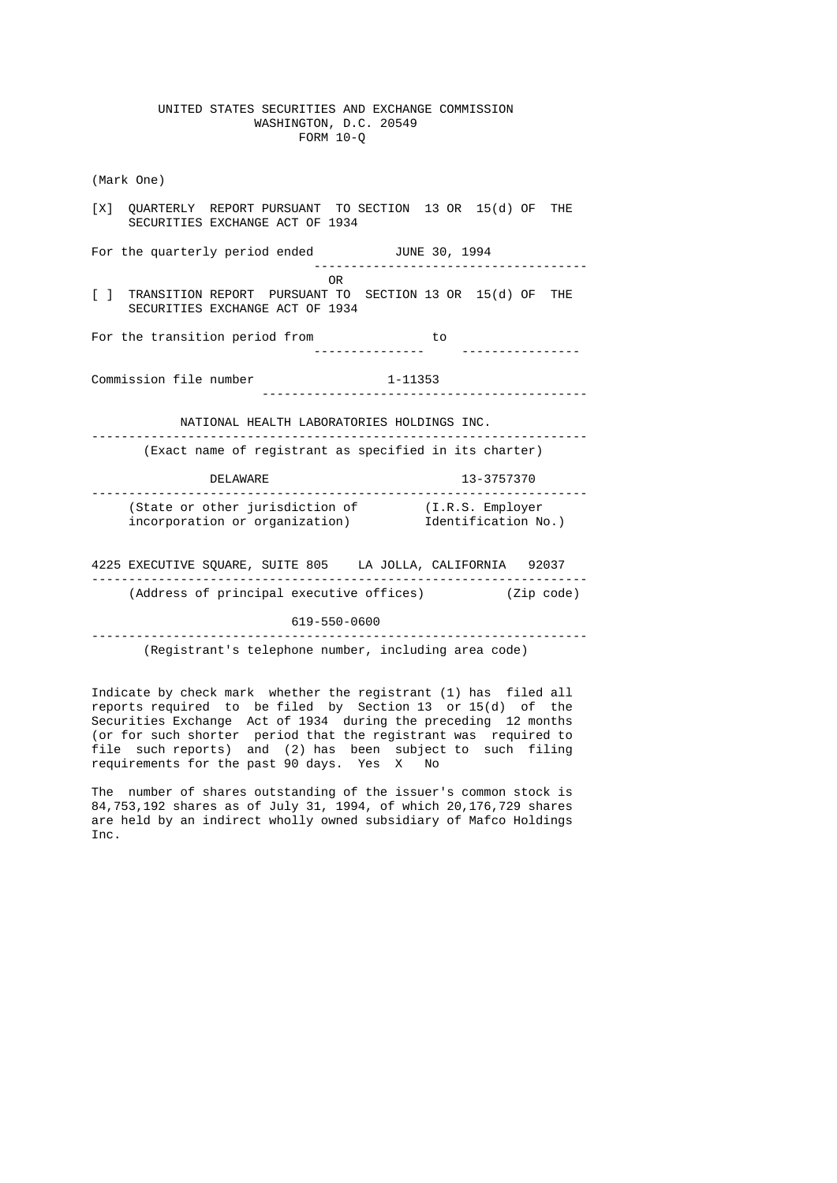#### UNITED STATES SECURITIES AND EXCHANGE COMMISSION WASHINGTON, D.C. 20549 FORM 10-Q

 (Mark One) [X] QUARTERLY REPORT PURSUANT TO SECTION 13 OR 15(d) OF THE SECURITIES EXCHANGE ACT OF 1934 For the quarterly period ended **JUNE 30, 1994**  ------------------------------------- **OR** Service of the state of the state of the state of the state of the state of the state of the state of the state of the state of the state of the state of the state of the state of the state of the state of the state o [ ] TRANSITION REPORT PURSUANT TO SECTION 13 OR 15(d) OF THE SECURITIES EXCHANGE ACT OF 1934 For the transition period from to<br>---------------- --------------- ---------------- Commission file number 1-11353 -------------------------------------------- NATIONAL HEALTH LABORATORIES HOLDINGS INC. ------------------------------------------------------------------- (Exact name of registrant as specified in its charter) DELAWARE 13-3757370 ------------------------------------------------------------------- (State or other jurisdiction of (I.R.S. Employer incorporation or organization) Identification No.) 4225 EXECUTIVE SQUARE, SUITE 805 LA JOLLA, CALIFORNIA 92037 ------------------------------------------------------------------- (Address of principal executive offices) (Zip code) 619-550-0600

-------------------------------------------------------------------

(Registrant's telephone number, including area code)

 Indicate by check mark whether the registrant (1) has filed all reports required to be filed by Section 13 or 15(d) of the Securities Exchange Act of 1934 during the preceding 12 months (or for such shorter period that the registrant was required to file such reports) and (2) has been subject to such filing requirements for the past 90 days. Yes X No

> The number of shares outstanding of the issuer's common stock is 84,753,192 shares as of July 31, 1994, of which 20,176,729 shares are held by an indirect wholly owned subsidiary of Mafco Holdings Inc.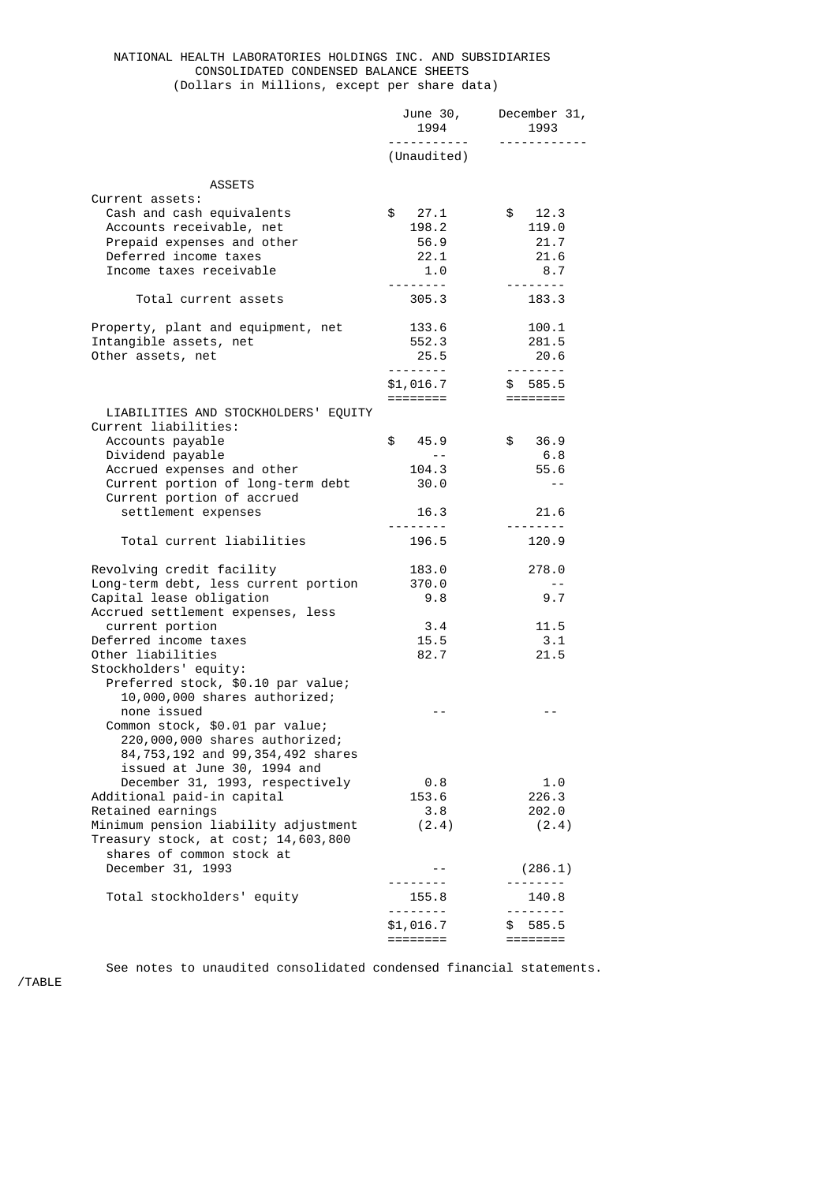#### NATIONAL HEALTH LABORATORIES HOLDINGS INC. AND SUBSIDIARIES CONSOLIDATED CONDENSED BALANCE SHEETS (Dollars in Millions, except per share data)

|                                                                                                                                                                                                  | June 30,<br>1994<br><u>.</u>                         | December 31,<br>1993<br><u> - - - - - - - - - - - -</u>                        |
|--------------------------------------------------------------------------------------------------------------------------------------------------------------------------------------------------|------------------------------------------------------|--------------------------------------------------------------------------------|
|                                                                                                                                                                                                  | (Unaudited)                                          |                                                                                |
| <b>ASSETS</b><br>Current assets:                                                                                                                                                                 |                                                      |                                                                                |
| Cash and cash equivalents<br>Accounts receivable, net<br>Prepaid expenses and other<br>Deferred income taxes<br>Income taxes receivable                                                          | \$27.1<br>198.2<br>56.9<br>22.1<br>1.0<br><u>.</u> . | \$ 12.3<br>119.0<br>21.7<br>21.6<br>8.7                                        |
| Total current assets                                                                                                                                                                             | 305.3                                                | 183.3                                                                          |
| Property, plant and equipment, net<br>Intangible assets, net<br>Other assets, net                                                                                                                | 133.6<br>552.3<br>25.5<br>\$1,016.7<br>========      | 100.1<br>281.5<br>20.6<br>. <b>.</b><br>\$585.5<br>$=$ $=$ $=$ $=$ $=$ $=$ $=$ |
| LIABILITIES AND STOCKHOLDERS' EQUITY<br>Current liabilities:                                                                                                                                     |                                                      |                                                                                |
| Accounts payable<br>Dividend payable<br>Accrued expenses and other<br>Current portion of long-term debt<br>Current portion of accrued                                                            | \$<br>45.9<br>$- -$<br>104.3<br>30.0                 | \$<br>36.9<br>6.8<br>55.6<br>$\sim$ $\sim$                                     |
| settlement expenses                                                                                                                                                                              | 16.3                                                 | 21.6                                                                           |
| Total current liabilities                                                                                                                                                                        | 196.5                                                | 120.9                                                                          |
| Revolving credit facility<br>Long-term debt, less current portion<br>Capital lease obligation<br>Accrued settlement expenses, less                                                               | 183.0<br>370.0<br>9.8                                | 278.0<br>$\sim$ $\sim$<br>9.7                                                  |
| current portion<br>Deferred income taxes<br>Other liabilities<br>Stockholders' equity:                                                                                                           | 3.4<br>15.5<br>82.7                                  | 11.5<br>3.1<br>21.5                                                            |
| Preferred stock, \$0.10 par value;<br>10,000,000 shares authorized;<br>none issued<br>Common stock, \$0.01 par value;<br>220,000,000 shares authorized;<br>84,753,192 and 99,354,492 shares      |                                                      |                                                                                |
| issued at June 30, 1994 and<br>December 31, 1993, respectively<br>Additional paid-in capital<br>Retained earnings<br>Minimum pension liability adjustment<br>Treasury stock, at cost; 14,603,800 | 0.8<br>153.6<br>3.8<br>(2.4)                         | 1.0<br>226.3<br>202.0<br>(2.4)                                                 |
| shares of common stock at<br>December 31, 1993                                                                                                                                                   |                                                      | (286.1)                                                                        |
| Total stockholders' equity                                                                                                                                                                       | 155.8                                                | 140.8                                                                          |
|                                                                                                                                                                                                  | \$1,016.7<br>========                                | 585.5<br>æ.<br>========                                                        |

See notes to unaudited consolidated condensed financial statements.

/TABLE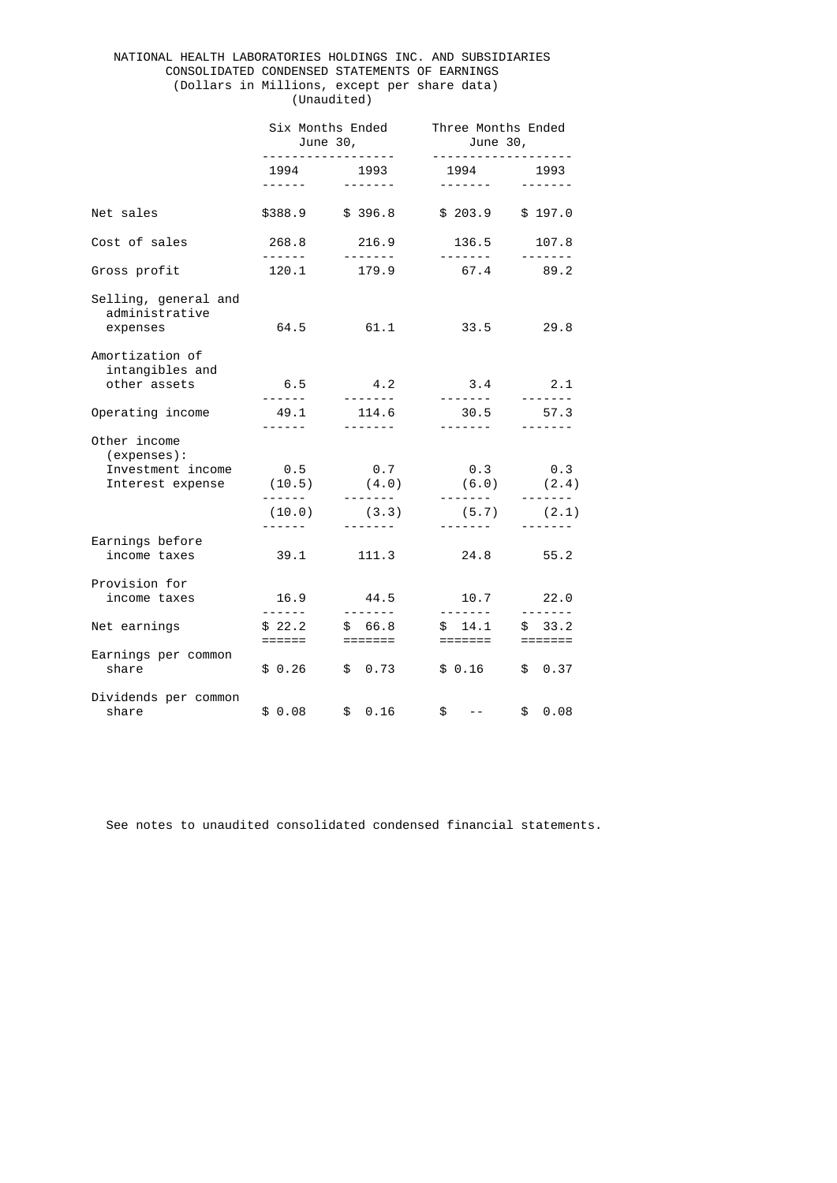### NATIONAL HEALTH LABORATORIES HOLDINGS INC. AND SUBSIDIARIES CONSOLIDATED CONDENSED STATEMENTS OF EARNINGS (Dollars in Millions, except per share data) (Unaudited)

|                                                                      | Six Months Ended<br>June 30,      |                                                                                                                                                                                                                                                                                                                                                                                                                                                                                   | Three Months Ended<br>June 30,                   |                                                                                                                                                                                                                                                                                                                                                                                                                                                                                    |
|----------------------------------------------------------------------|-----------------------------------|-----------------------------------------------------------------------------------------------------------------------------------------------------------------------------------------------------------------------------------------------------------------------------------------------------------------------------------------------------------------------------------------------------------------------------------------------------------------------------------|--------------------------------------------------|------------------------------------------------------------------------------------------------------------------------------------------------------------------------------------------------------------------------------------------------------------------------------------------------------------------------------------------------------------------------------------------------------------------------------------------------------------------------------------|
|                                                                      | 1994<br>------                    | .<br>1993<br>-------                                                                                                                                                                                                                                                                                                                                                                                                                                                              | - - - - - - - - - - - - - - -<br>1994<br>------- | 1993<br>$\frac{1}{2} \left( \frac{1}{2} \right) \left( \frac{1}{2} \right) \left( \frac{1}{2} \right) \left( \frac{1}{2} \right) \left( \frac{1}{2} \right) \left( \frac{1}{2} \right) \left( \frac{1}{2} \right) \left( \frac{1}{2} \right) \left( \frac{1}{2} \right) \left( \frac{1}{2} \right) \left( \frac{1}{2} \right) \left( \frac{1}{2} \right) \left( \frac{1}{2} \right) \left( \frac{1}{2} \right) \left( \frac{1}{2} \right) \left( \frac{1}{2} \right) \left( \frac$ |
| Net sales                                                            | \$388.9                           | \$396.8                                                                                                                                                                                                                                                                                                                                                                                                                                                                           | \$203.9                                          | \$197.0                                                                                                                                                                                                                                                                                                                                                                                                                                                                            |
| Cost of sales                                                        | 268.8                             | 216.9                                                                                                                                                                                                                                                                                                                                                                                                                                                                             | 136.5                                            | 107.8                                                                                                                                                                                                                                                                                                                                                                                                                                                                              |
| Gross profit                                                         |                                   | 120.1 179.9                                                                                                                                                                                                                                                                                                                                                                                                                                                                       | .<br>67.4 89.2                                   | $\frac{1}{2} \left( \frac{1}{2} \right) \left( \frac{1}{2} \right) \left( \frac{1}{2} \right) \left( \frac{1}{2} \right) \left( \frac{1}{2} \right) \left( \frac{1}{2} \right) \left( \frac{1}{2} \right) \left( \frac{1}{2} \right) \left( \frac{1}{2} \right) \left( \frac{1}{2} \right) \left( \frac{1}{2} \right) \left( \frac{1}{2} \right) \left( \frac{1}{2} \right) \left( \frac{1}{2} \right) \left( \frac{1}{2} \right) \left( \frac{1}{2} \right) \left( \frac$         |
| Selling, general and<br>administrative<br>expenses                   | 64.5                              | 61.1                                                                                                                                                                                                                                                                                                                                                                                                                                                                              | 33.5                                             | 29.8                                                                                                                                                                                                                                                                                                                                                                                                                                                                               |
| Amortization of<br>intangibles and<br>other assets                   | 6.5<br>-------                    | 4.2<br>$\frac{1}{2} \left( \frac{1}{2} \right) \left( \frac{1}{2} \right) \left( \frac{1}{2} \right) \left( \frac{1}{2} \right) \left( \frac{1}{2} \right) \left( \frac{1}{2} \right) \left( \frac{1}{2} \right) \left( \frac{1}{2} \right) \left( \frac{1}{2} \right) \left( \frac{1}{2} \right) \left( \frac{1}{2} \right) \left( \frac{1}{2} \right) \left( \frac{1}{2} \right) \left( \frac{1}{2} \right) \left( \frac{1}{2} \right) \left( \frac{1}{2} \right) \left( \frac$ | 3.4                                              | 2.1<br>-------                                                                                                                                                                                                                                                                                                                                                                                                                                                                     |
| Operating income                                                     | 49.1<br>------                    | 114.6<br>-------                                                                                                                                                                                                                                                                                                                                                                                                                                                                  | 30.5<br>$- - - - - - - -$                        | 57.3                                                                                                                                                                                                                                                                                                                                                                                                                                                                               |
| Other income<br>(expenses):<br>Investment income<br>Interest expense | 0.5<br>(10.5)<br>-------          | 0.7<br>(4.0)                                                                                                                                                                                                                                                                                                                                                                                                                                                                      | 0.3<br>(6.0)                                     | $\theta.3$<br>(2.4)                                                                                                                                                                                                                                                                                                                                                                                                                                                                |
|                                                                      | (10.0)<br>-------                 | (3.3)<br>--------                                                                                                                                                                                                                                                                                                                                                                                                                                                                 | (5.7)                                            | (2.1)                                                                                                                                                                                                                                                                                                                                                                                                                                                                              |
| Earnings before<br>income taxes                                      | 39.1                              | 111.3                                                                                                                                                                                                                                                                                                                                                                                                                                                                             | 24.8                                             | 55.2                                                                                                                                                                                                                                                                                                                                                                                                                                                                               |
| Provision for<br>income taxes                                        | 16.9<br>$- - - - - - -$           | 44.5                                                                                                                                                                                                                                                                                                                                                                                                                                                                              | 10.7                                             | 22.0<br>-------                                                                                                                                                                                                                                                                                                                                                                                                                                                                    |
| Net earnings                                                         | \$22.2<br>$=$ $=$ $=$ $=$ $=$ $=$ | 66.8<br>\$                                                                                                                                                                                                                                                                                                                                                                                                                                                                        | 14.1<br>\$                                       | 33.2<br>\$                                                                                                                                                                                                                                                                                                                                                                                                                                                                         |
| Earnings per common<br>share                                         | \$0.26                            | \$0.73                                                                                                                                                                                                                                                                                                                                                                                                                                                                            | \$ 0.16                                          | \$0.37                                                                                                                                                                                                                                                                                                                                                                                                                                                                             |
| Dividends per common<br>share                                        | \$0.08                            | 0.16<br>\$                                                                                                                                                                                                                                                                                                                                                                                                                                                                        | \$                                               | 0.08<br>\$                                                                                                                                                                                                                                                                                                                                                                                                                                                                         |

See notes to unaudited consolidated condensed financial statements.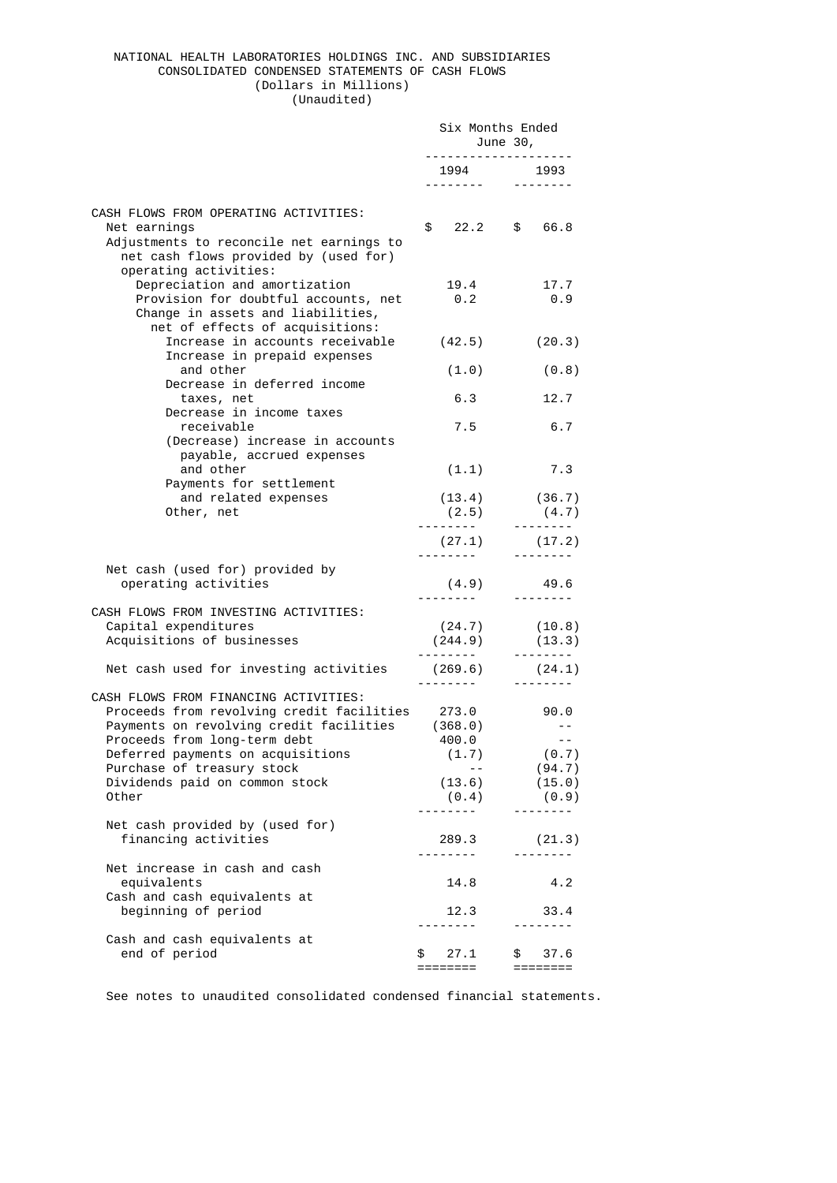### NATIONAL HEALTH LABORATORIES HOLDINGS INC. AND SUBSIDIARIES CONSOLIDATED CONDENSED STATEMENTS OF CASH FLOWS (Dollars in Millions) (Unaudited)

Six Months Ended

|                                                                                                                                                                                                                                                                             | June 30,                                              |                                                                    |
|-----------------------------------------------------------------------------------------------------------------------------------------------------------------------------------------------------------------------------------------------------------------------------|-------------------------------------------------------|--------------------------------------------------------------------|
|                                                                                                                                                                                                                                                                             | .                                                     | 1994 1993                                                          |
|                                                                                                                                                                                                                                                                             | .                                                     |                                                                    |
| CASH FLOWS FROM OPERATING ACTIVITIES:<br>Net earnings<br>Adjustments to reconcile net earnings to<br>net cash flows provided by (used for)<br>operating activities:                                                                                                         | \$<br>22.2                                            | 66.8<br>\$                                                         |
| Depreciation and amortization<br>Provision for doubtful accounts, net<br>Change in assets and liabilities,<br>net of effects of acquisitions:                                                                                                                               | 19.4<br>$\odot$ .2                                    | 17.7<br>0.9                                                        |
| Increase in accounts receivable<br>Increase in prepaid expenses                                                                                                                                                                                                             | (42.5)                                                | (20.3)                                                             |
| and other                                                                                                                                                                                                                                                                   | (1.0)                                                 | (0.8)                                                              |
| Decrease in deferred income<br>taxes, net<br>Decrease in income taxes                                                                                                                                                                                                       | 6.3                                                   | 12.7                                                               |
| receivable<br>(Decrease) increase in accounts<br>payable, accrued expenses                                                                                                                                                                                                  | 7.5                                                   | 6.7                                                                |
| and other<br>Payments for settlement                                                                                                                                                                                                                                        | (1.1)                                                 | 7.3                                                                |
| and related expenses<br>Other, net                                                                                                                                                                                                                                          |                                                       | $(13.4)$ $(36.7)$<br>$(2.5)$ $(4.7)$                               |
|                                                                                                                                                                                                                                                                             | (27.1)                                                | (17.2)                                                             |
| Net cash (used for) provided by<br>operating activities                                                                                                                                                                                                                     | (4.9)                                                 | <u>.</u><br>49.6                                                   |
| CASH FLOWS FROM INVESTING ACTIVITIES:<br>Capital expenditures<br>Acquisitions of businesses                                                                                                                                                                                 |                                                       | $(24.7)$ $(10.8)$<br>$(244.9)$ $(13.3)$<br><u>.</u> .              |
| Net cash used for investing activities                                                                                                                                                                                                                                      | (269.6)<br><u> - - - - - - - - -</u>                  | (24.1)                                                             |
| CASH FLOWS FROM FINANCING ACTIVITIES:<br>Proceeds from revolving credit facilities<br>Payments on revolving credit facilities<br>Proceeds from long-term debt<br>Deferred payments on acquisitions<br>Purchase of treasury stock<br>Dividends paid on common stock<br>Other | 273.0<br>(368.0)<br>400.0<br>(1.7)<br>(13.6)<br>(0.4) | 90.0<br>$  \,$<br>$\sim$ $-$<br>(0.7)<br>(94.7)<br>(15.0)<br>(0.9) |
| Net cash provided by (used for)<br>financing activities                                                                                                                                                                                                                     | .<br>289.3<br><u>.</u>                                | (21.3)<br>.                                                        |
| Net increase in cash and cash<br>equivalents<br>Cash and cash equivalents at<br>beginning of period                                                                                                                                                                         | 14.8<br>12.3                                          | 4.2<br>33.4                                                        |
| Cash and cash equivalents at<br>end of period                                                                                                                                                                                                                               | 27.1<br>\$<br>========                                | ------<br>\$<br>37.6<br>========                                   |

See notes to unaudited consolidated condensed financial statements.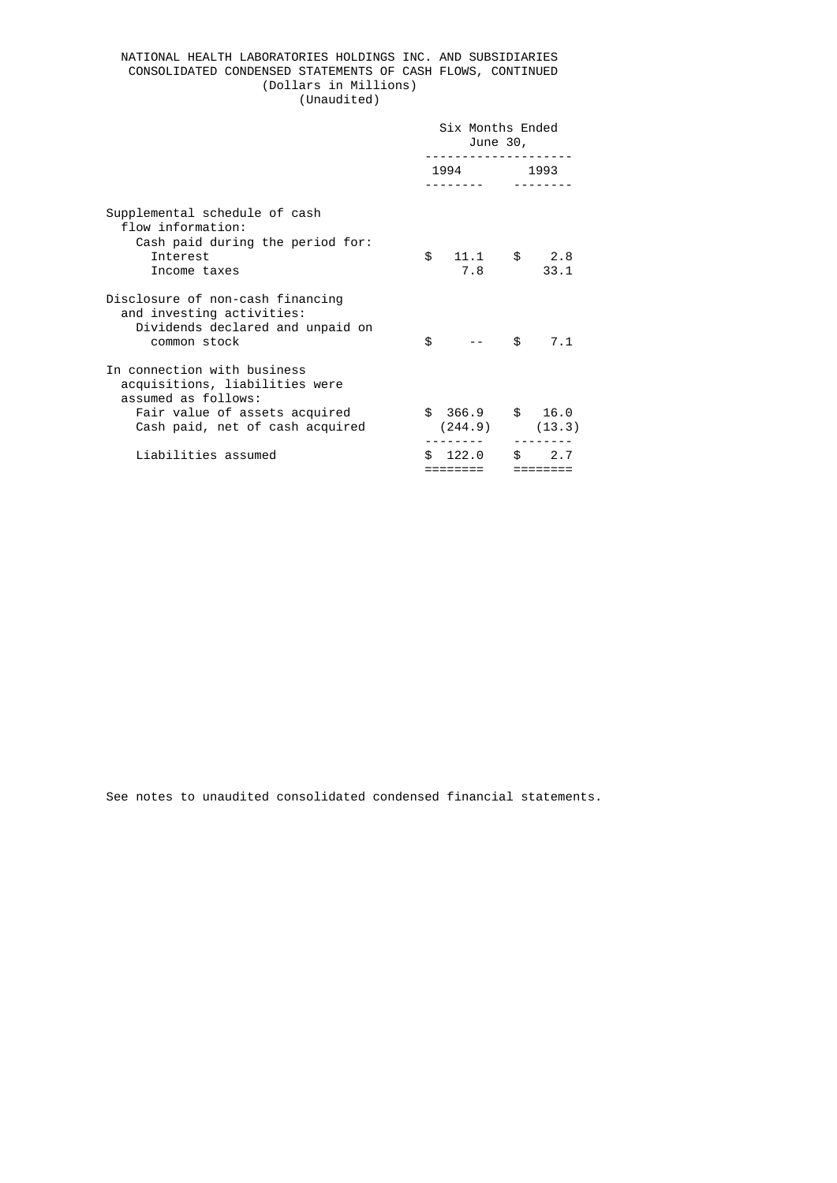## NATIONAL HEALTH LABORATORIES HOLDINGS INC. AND SUBSIDIARIES CONSOLIDATED CONDENSED STATEMENTS OF CASH FLOWS, CONTINUED (Dollars in Millions) (Unaudited)

|  |  | (UIIduulteu) |  |
|--|--|--------------|--|
|  |  |              |  |

|                                                                                                                                                          | Six Months Ended<br>June 30, |                                        |     |                 |
|----------------------------------------------------------------------------------------------------------------------------------------------------------|------------------------------|----------------------------------------|-----|-----------------|
|                                                                                                                                                          |                              | 1994 1995                              |     | 1993            |
| Supplemental schedule of cash<br>flow information:<br>Cash paid during the period for:<br>Interest<br>Income taxes                                       | \$                           | 11.1<br>7.8                            | \$  | 2.8<br>33.1     |
| Disclosure of non-cash financing<br>and investing activities:<br>Dividends declared and unpaid on<br>common stock                                        | \$                           |                                        | \$  | 7.1             |
| In connection with business<br>acquisitions, liabilities were<br>assumed as follows:<br>Fair value of assets acquired<br>Cash paid, net of cash acquired |                              | $$366.9$ \$ 16.0<br>$(244.9)$ $(13.3)$ |     |                 |
| Liabilities assumed                                                                                                                                      | \$.                          | 122.0                                  | \$. | 2.7<br>======== |

See notes to unaudited consolidated condensed financial statements.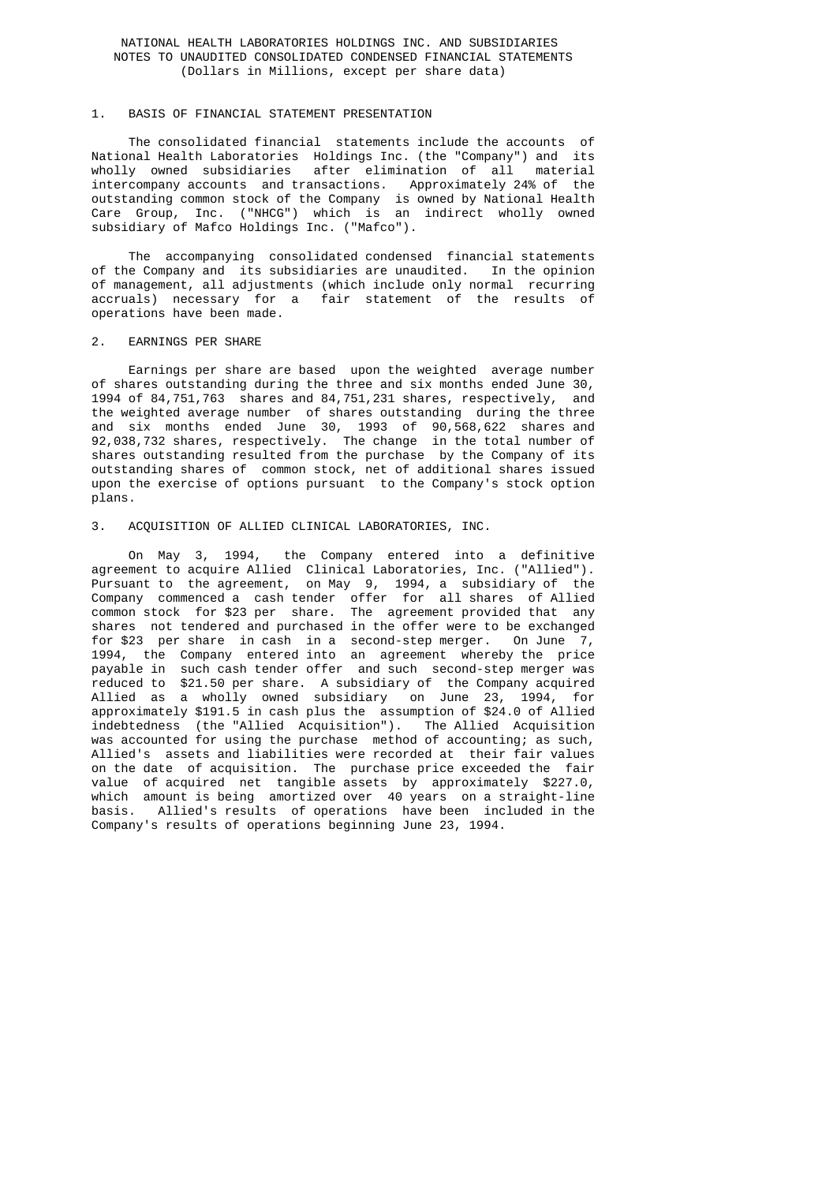## NATIONAL HEALTH LABORATORIES HOLDINGS INC. AND SUBSIDIARIES NOTES TO UNAUDITED CONSOLIDATED CONDENSED FINANCIAL STATEMENTS (Dollars in Millions, except per share data)

### 1. BASIS OF FINANCIAL STATEMENT PRESENTATION

 The consolidated financial statements include the accounts of National Health Laboratories Holdings Inc. (the "Company") and its wholly owned subsidiaries after elimination of all material intercompany accounts and transactions. Approximately 24% of the outstanding common stock of the Company is owned by National Health Care Group, Inc. ("NHCG") which is an indirect wholly owned subsidiary of Mafco Holdings Inc. ("Mafco").

> The accompanying consolidated condensed financial statements of the Company and its subsidiaries are unaudited. In the opinion of management, all adjustments (which include only normal recurring accruals) necessary for a fair statement of the results of operations have been made.

#### 2. EARNINGS PER SHARE

 Earnings per share are based upon the weighted average number of shares outstanding during the three and six months ended June 30, 1994 of 84,751,763 shares and 84,751,231 shares, respectively, and the weighted average number of shares outstanding during the three and six months ended June 30, 1993 of 90,568,622 shares and 92,038,732 shares, respectively. The change in the total number of shares outstanding resulted from the purchase by the Company of its outstanding shares of common stock, net of additional shares issued upon the exercise of options pursuant to the Company's stock option plans.

#### 3. ACQUISITION OF ALLIED CLINICAL LABORATORIES, INC.

 On May 3, 1994, the Company entered into a definitive agreement to acquire Allied Clinical Laboratories, Inc. ("Allied"). Pursuant to the agreement, on May 9, 1994, a subsidiary of the Company commenced a cash tender offer for all shares of Allied common stock for \$23 per share. The agreement provided that any shares not tendered and purchased in the offer were to be exchanged for \$23 per share in cash in a second-step merger. On June 7, 1994, the Company entered into an agreement whereby the price payable in such cash tender offer and such second-step merger was reduced to \$21.50 per share. A subsidiary of the Company acquired Allied as a wholly owned subsidiary on June 23, 1994, for approximately \$191.5 in cash plus the assumption of \$24.0 of Allied indebtedness (the "Allied Acquisition"). The Allied Acquisition was accounted for using the purchase method of accounting; as such, Allied's assets and liabilities were recorded at their fair values on the date of acquisition. The purchase price exceeded the fair value of acquired net tangible assets by approximately \$227.0, which amount is being amortized over 40 years on a straight-line basis. Allied's results of operations have been included in the Company's results of operations beginning June 23, 1994.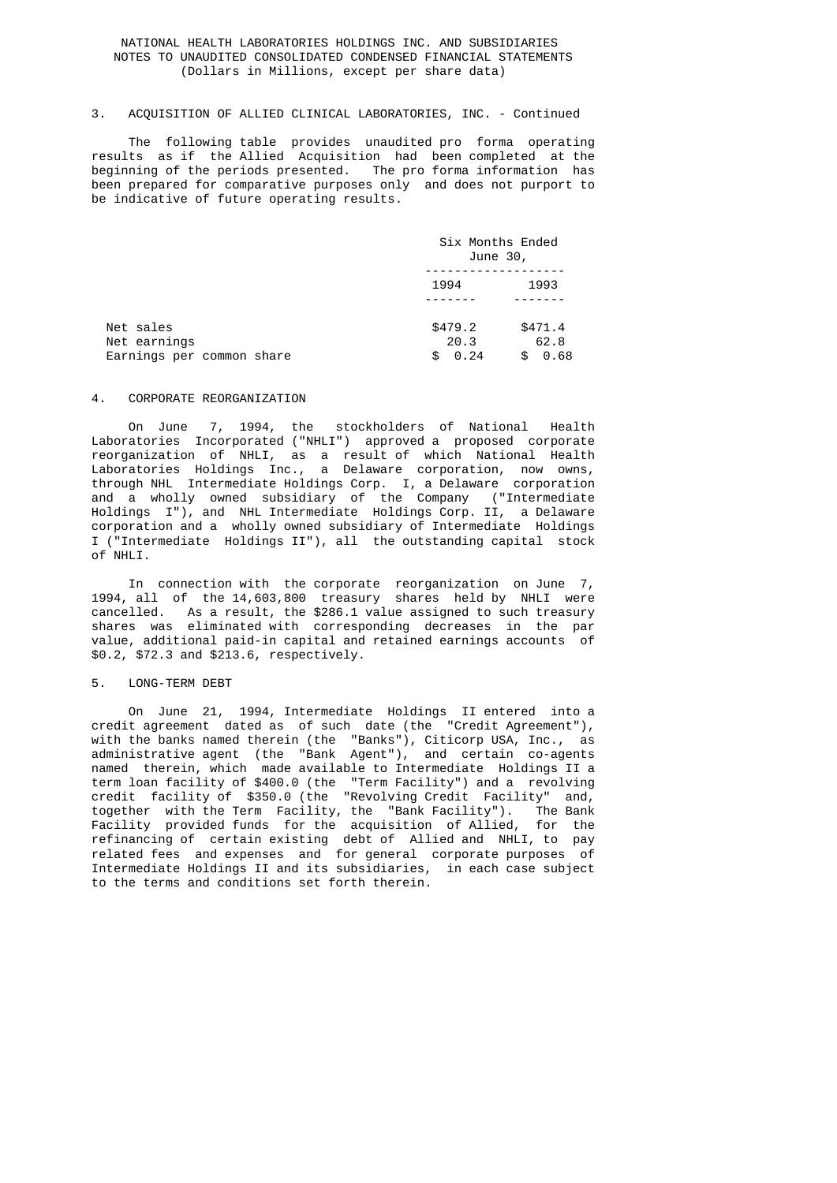## NATIONAL HEALTH LABORATORIES HOLDINGS INC. AND SUBSIDIARIES NOTES TO UNAUDITED CONSOLIDATED CONDENSED FINANCIAL STATEMENTS (Dollars in Millions, except per share data)

## 3. ACQUISITION OF ALLIED CLINICAL LABORATORIES, INC. - Continued

 The following table provides unaudited pro forma operating results as if the Allied Acquisition had been completed at the beginning of the periods presented. The pro forma information has been prepared for comparative purposes only and does not purport to be indicative of future operating results.

|                                                        | Six Months Ended<br>June 30,          |                               |
|--------------------------------------------------------|---------------------------------------|-------------------------------|
|                                                        | 1994                                  | 1993                          |
| Net sales<br>Net earnings<br>Earnings per common share | \$479.2<br>20.3<br>$\theta$ .24<br>\$ | \$471.4<br>62.8<br>0.68<br>\$ |

#### 4. CORPORATE REORGANIZATION

 On June 7, 1994, the stockholders of National Health Laboratories Incorporated ("NHLI") approved a proposed corporate reorganization of NHLI, as a result of which National Health Laboratories Holdings Inc., a Delaware corporation, now owns, through NHL Intermediate Holdings Corp. I, a Delaware corporation and a wholly owned subsidiary of the Company ("Intermediate Holdings I"), and NHL Intermediate Holdings Corp. II, a Delaware corporation and a wholly owned subsidiary of Intermediate Holdings I ("Intermediate Holdings II"), all the outstanding capital stock of NHLI.

 In connection with the corporate reorganization on June 7, 1994, all of the 14,603,800 treasury shares held by NHLI were cancelled. As a result, the \$286.1 value assigned to such treasury shares was eliminated with corresponding decreases in the par value, additional paid-in capital and retained earnings accounts of \$0.2, \$72.3 and \$213.6, respectively.

## 5. LONG-TERM DEBT

 On June 21, 1994, Intermediate Holdings II entered into a credit agreement dated as of such date (the "Credit Agreement"), with the banks named therein (the "Banks"), Citicorp USA, Inc., as administrative agent (the "Bank Agent"), and certain co-agents named therein, which made available to Intermediate Holdings II a term loan facility of \$400.0 (the "Term Facility") and a revolving credit facility of \$350.0 (the "Revolving Credit Facility" and, together with the Term Facility, the "Bank Facility"). The Bank Facility provided funds for the acquisition of Allied, for the refinancing of certain existing debt of Allied and NHLI, to pay related fees and expenses and for general corporate purposes of Intermediate Holdings II and its subsidiaries, in each case subject to the terms and conditions set forth therein.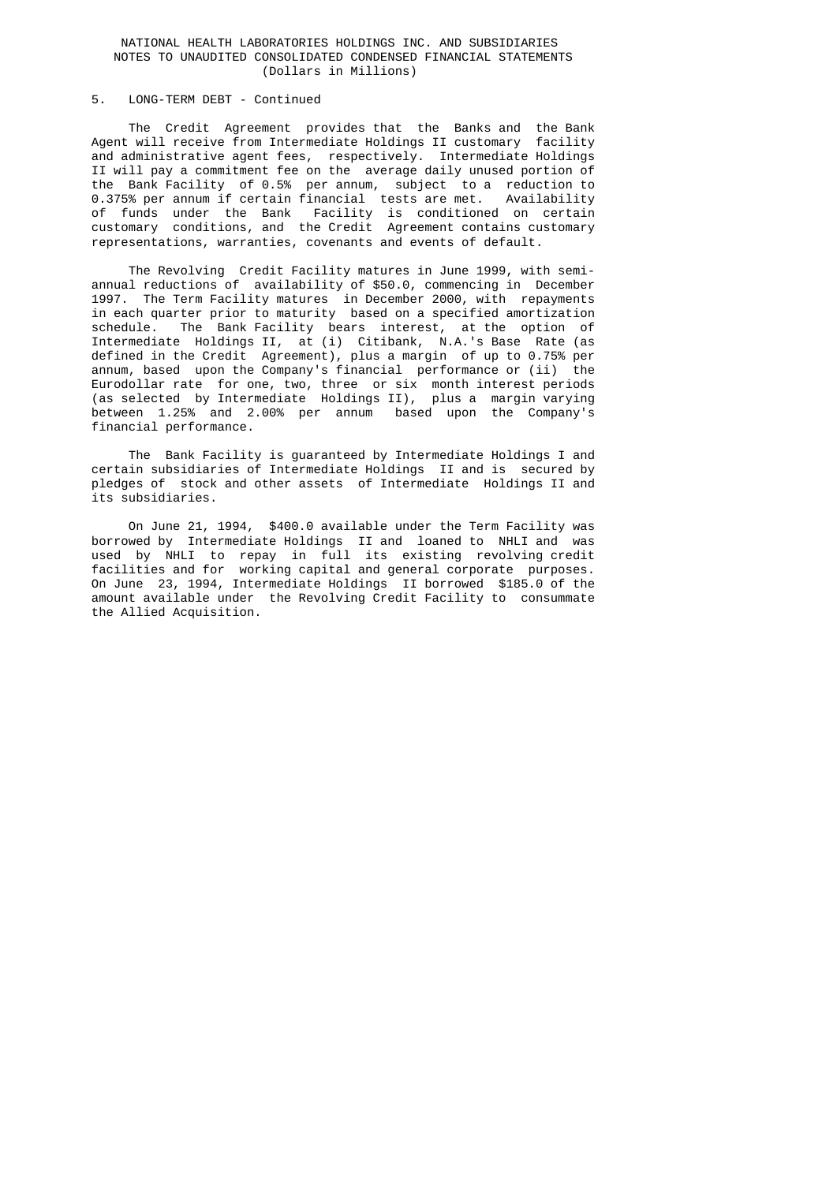#### NATIONAL HEALTH LABORATORIES HOLDINGS INC. AND SUBSIDIARIES NOTES TO UNAUDITED CONSOLIDATED CONDENSED FINANCIAL STATEMENTS (Dollars in Millions)

## 5. LONG-TERM DEBT - Continued

 The Credit Agreement provides that the Banks and the Bank Agent will receive from Intermediate Holdings II customary facility and administrative agent fees, respectively. Intermediate Holdings II will pay a commitment fee on the average daily unused portion of the Bank Facility of 0.5% per annum, subject to a reduction to 0.375% per annum if certain financial tests are met. Availability of funds under the Bank Facility is conditioned on certain customary conditions, and the Credit Agreement contains customary representations, warranties, covenants and events of default.

 The Revolving Credit Facility matures in June 1999, with semi annual reductions of availability of \$50.0, commencing in December 1997. The Term Facility matures in December 2000, with repayments in each quarter prior to maturity based on a specified amortization schedule. The Bank Facility bears interest, at the option of Intermediate Holdings II, at (i) Citibank, N.A.'s Base Rate (as defined in the Credit Agreement), plus a margin of up to 0.75% per annum, based upon the Company's financial performance or (ii) the Eurodollar rate for one, two, three or six month interest periods (as selected by Intermediate Holdings II), plus a margin varying between 1.25% and 2.00% per annum based upon the Company's financial performance.

> The Bank Facility is guaranteed by Intermediate Holdings I and certain subsidiaries of Intermediate Holdings II and is secured by pledges of stock and other assets of Intermediate Holdings II and its subsidiaries.

 On June 21, 1994, \$400.0 available under the Term Facility was borrowed by Intermediate Holdings II and loaned to NHLI and was used by NHLI to repay in full its existing revolving credit facilities and for working capital and general corporate purposes. On June 23, 1994, Intermediate Holdings II borrowed \$185.0 of the amount available under the Revolving Credit Facility to consummate the Allied Acquisition.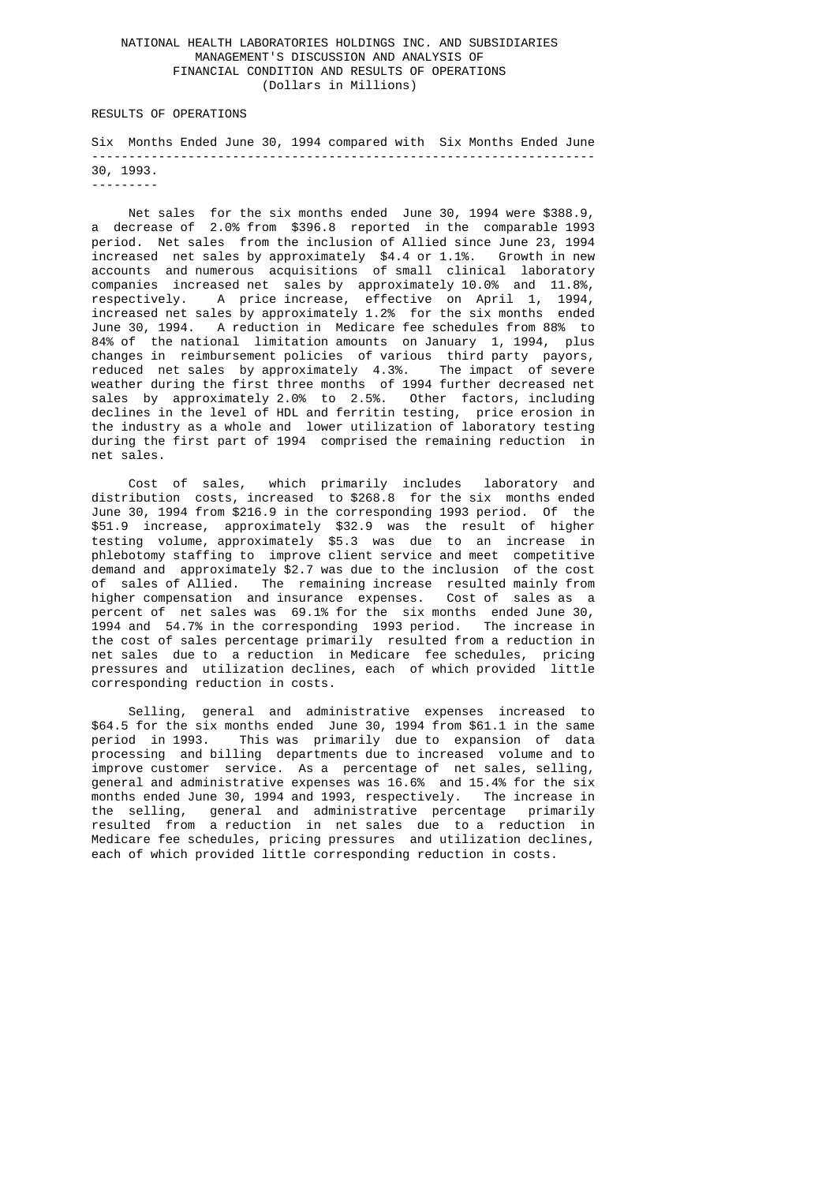## NATIONAL HEALTH LABORATORIES HOLDINGS INC. AND SUBSIDIARIES MANAGEMENT'S DISCUSSION AND ANALYSIS OF FINANCIAL CONDITION AND RESULTS OF OPERATIONS (Dollars in Millions)

RESULTS OF OPERATIONS

 Six Months Ended June 30, 1994 compared with Six Months Ended June -------------------------------------------------------------------- 30, 1993. ---------

 Net sales for the six months ended June 30, 1994 were \$388.9, a decrease of 2.0% from \$396.8 reported in the comparable 1993 period. Net sales from the inclusion of Allied since June 23, 1994 increased net sales by approximately \$4.4 or 1.1%. Growth in new accounts and numerous acquisitions of small clinical laboratory companies increased net sales by approximately 10.0% and 11.8%, respectively. A price increase, effective on April 1, 1994, increased net sales by approximately 1.2% for the six months ended June 30, 1994. A reduction in Medicare fee schedules from 88% to 84% of the national limitation amounts on January 1, 1994, plus changes in reimbursement policies of various third party payors, reduced net sales by approximately 4.3%. The impact of severe weather during the first three months of 1994 further decreased net sales by approximately 2.0% to 2.5%. Other factors, including declines in the level of HDL and ferritin testing, price erosion in the industry as a whole and lower utilization of laboratory testing during the first part of 1994 comprised the remaining reduction in net sales.

 Cost of sales, which primarily includes laboratory and distribution costs, increased to \$268.8 for the six months ended June 30, 1994 from \$216.9 in the corresponding 1993 period. Of the \$51.9 increase, approximately \$32.9 was the result of higher testing volume, approximately \$5.3 was due to an increase in phlebotomy staffing to improve client service and meet competitive demand and approximately \$2.7 was due to the inclusion of the cost of sales of Allied. The remaining increase resulted mainly from higher compensation and insurance expenses. Cost of sales as a percent of net sales was 69.1% for the six months ended June 30, 1994 and 54.7% in the corresponding 1993 period. The increase in the cost of sales percentage primarily resulted from a reduction in net sales due to a reduction in Medicare fee schedules, pricing pressures and utilization declines, each of which provided little corresponding reduction in costs.

 Selling, general and administrative expenses increased to \$64.5 for the six months ended June 30, 1994 from \$61.1 in the same period in 1993. This was primarily due to expansion of data processing and billing departments due to increased volume and to improve customer service. As a percentage of net sales, selling, general and administrative expenses was 16.6% and 15.4% for the six months ended June 30, 1994 and 1993, respectively. The increase in the selling, general and administrative percentage primarily resulted from a reduction in net sales due to a reduction in Medicare fee schedules, pricing pressures and utilization declines, each of which provided little corresponding reduction in costs.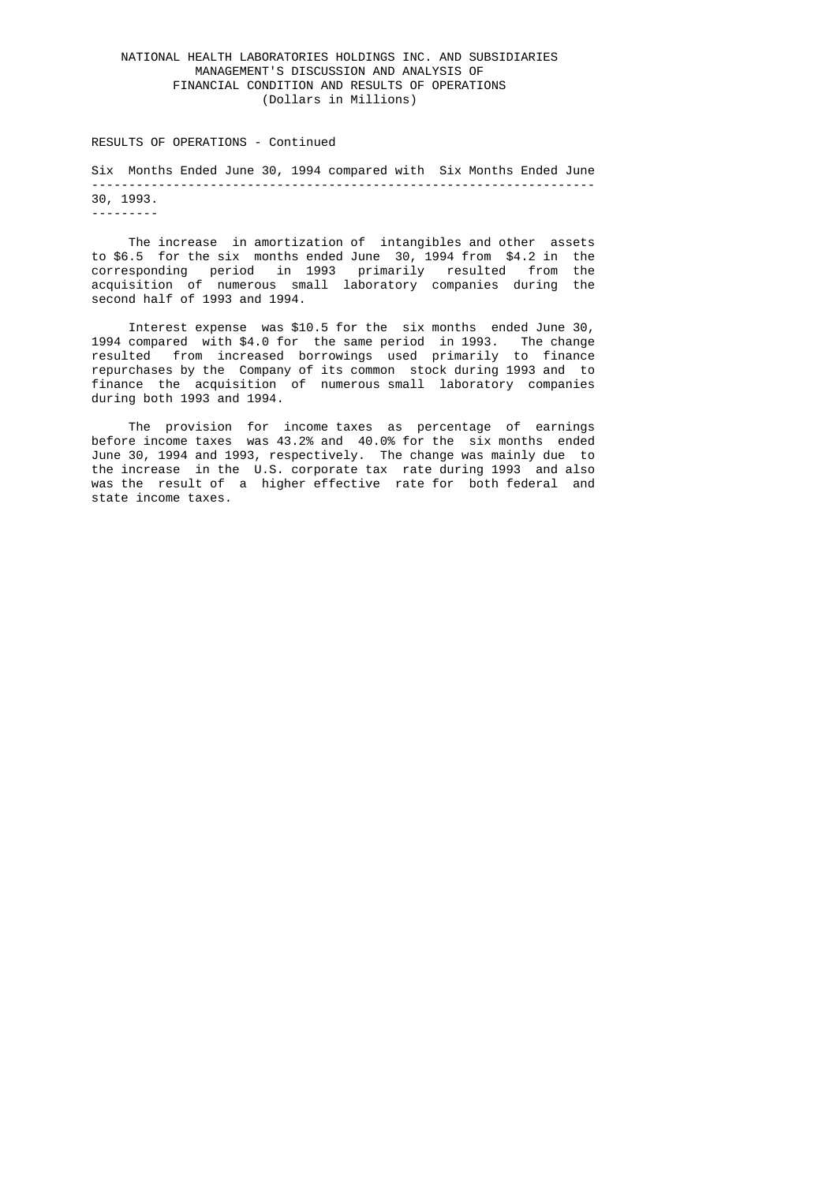## NATIONAL HEALTH LABORATORIES HOLDINGS INC. AND SUBSIDIARIES MANAGEMENT'S DISCUSSION AND ANALYSIS OF FINANCIAL CONDITION AND RESULTS OF OPERATIONS (Dollars in Millions)

#### RESULTS OF OPERATIONS - Continued

 Six Months Ended June 30, 1994 compared with Six Months Ended June -------------------------------------------------------------------- 30, 1993.

---------

 The increase in amortization of intangibles and other assets to \$6.5 for the six months ended June 30, 1994 from \$4.2 in the corresponding period in 1993 primarily resulted from the acquisition of numerous small laboratory companies during the second half of 1993 and 1994.

> Interest expense was \$10.5 for the six months ended June 30, 1994 compared with \$4.0 for the same period in 1993. The change resulted from increased borrowings used primarily to finance repurchases by the Company of its common stock during 1993 and to finance the acquisition of numerous small laboratory companies during both 1993 and 1994.

 The provision for income taxes as percentage of earnings before income taxes was 43.2% and 40.0% for the six months ended June 30, 1994 and 1993, respectively. The change was mainly due to the increase in the U.S. corporate tax rate during 1993 and also was the result of a higher effective rate for both federal and state income taxes.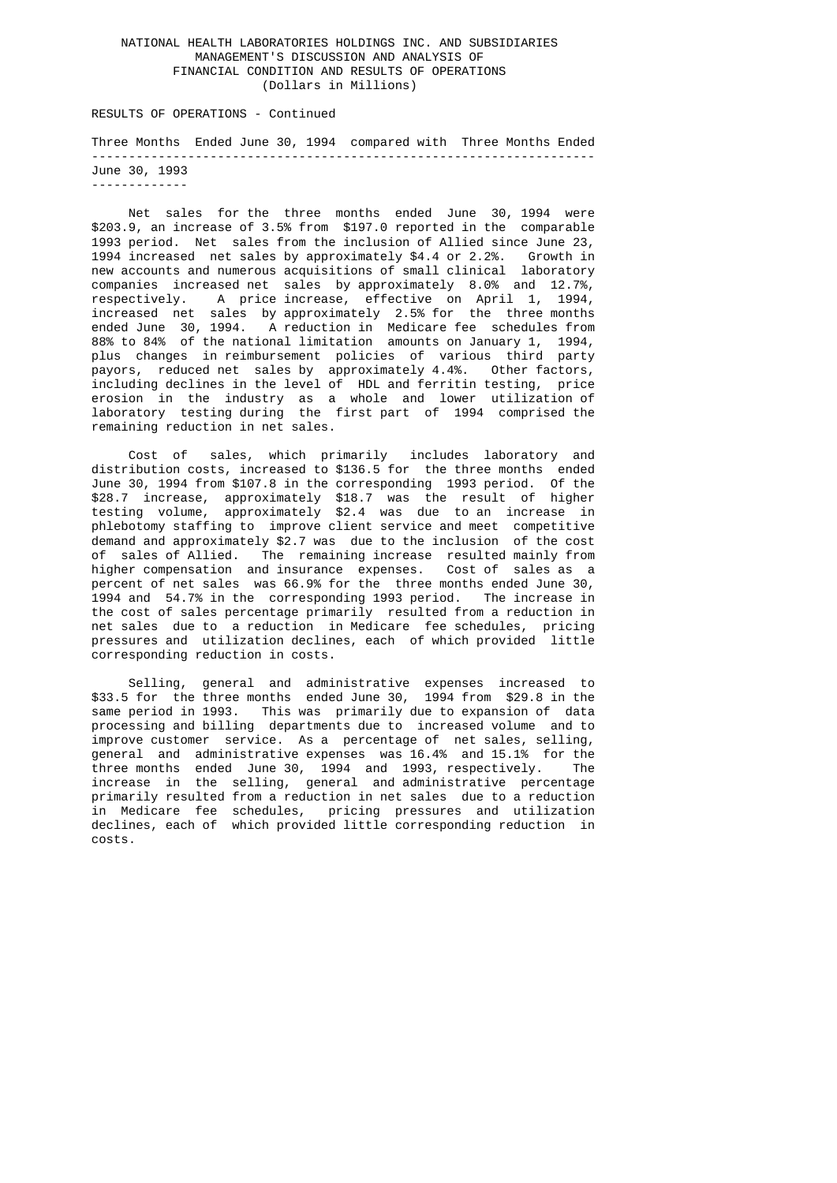## NATIONAL HEALTH LABORATORIES HOLDINGS INC. AND SUBSIDIARIES MANAGEMENT'S DISCUSSION AND ANALYSIS OF FINANCIAL CONDITION AND RESULTS OF OPERATIONS (Dollars in Millions)

RESULTS OF OPERATIONS - Continued

 Three Months Ended June 30, 1994 compared with Three Months Ended -------------------------------------------------------------------- June 30, 1993 -------------

 Net sales for the three months ended June 30, 1994 were \$203.9, an increase of 3.5% from \$197.0 reported in the comparable 1993 period. Net sales from the inclusion of Allied since June 23, 1994 increased net sales by approximately \$4.4 or 2.2%. Growth in new accounts and numerous acquisitions of small clinical laboratory companies increased net sales by approximately 8.0% and 12.7%, respectively. A price increase, effective on April 1, 1994, increased net sales by approximately 2.5% for the three months ended June 30, 1994. A reduction in Medicare fee schedules from 88% to 84% of the national limitation amounts on January 1, 1994, plus changes in reimbursement policies of various third party payors, reduced net sales by approximately 4.4%. Other factors, including declines in the level of HDL and ferritin testing, price erosion in the industry as a whole and lower utilization of laboratory testing during the first part of 1994 comprised the remaining reduction in net sales.

 Cost of sales, which primarily includes laboratory and distribution costs, increased to \$136.5 for the three months ended June 30, 1994 from \$107.8 in the corresponding 1993 period. Of the \$28.7 increase, approximately \$18.7 was the result of higher testing volume, approximately \$2.4 was due to an increase in phlebotomy staffing to improve client service and meet competitive demand and approximately \$2.7 was due to the inclusion of the cost of sales of Allied. The remaining increase resulted mainly from higher compensation and insurance expenses. Cost of sales as a percent of net sales was 66.9% for the three months ended June 30, 1994 and 54.7% in the corresponding 1993 period. The increase in the cost of sales percentage primarily resulted from a reduction in net sales due to a reduction in Medicare fee schedules, pricing pressures and utilization declines, each of which provided little corresponding reduction in costs.

 Selling, general and administrative expenses increased to \$33.5 for the three months ended June 30, 1994 from \$29.8 in the same period in 1993. This was primarily due to expansion of data processing and billing departments due to increased volume and to improve customer service. As a percentage of net sales, selling, general and administrative expenses was 16.4% and 15.1% for the three months ended June 30, 1994 and 1993, respectively. The increase in the selling, general and administrative percentage primarily resulted from a reduction in net sales due to a reduction in Medicare fee schedules, pricing pressures and utilization declines, each of which provided little corresponding reduction in costs.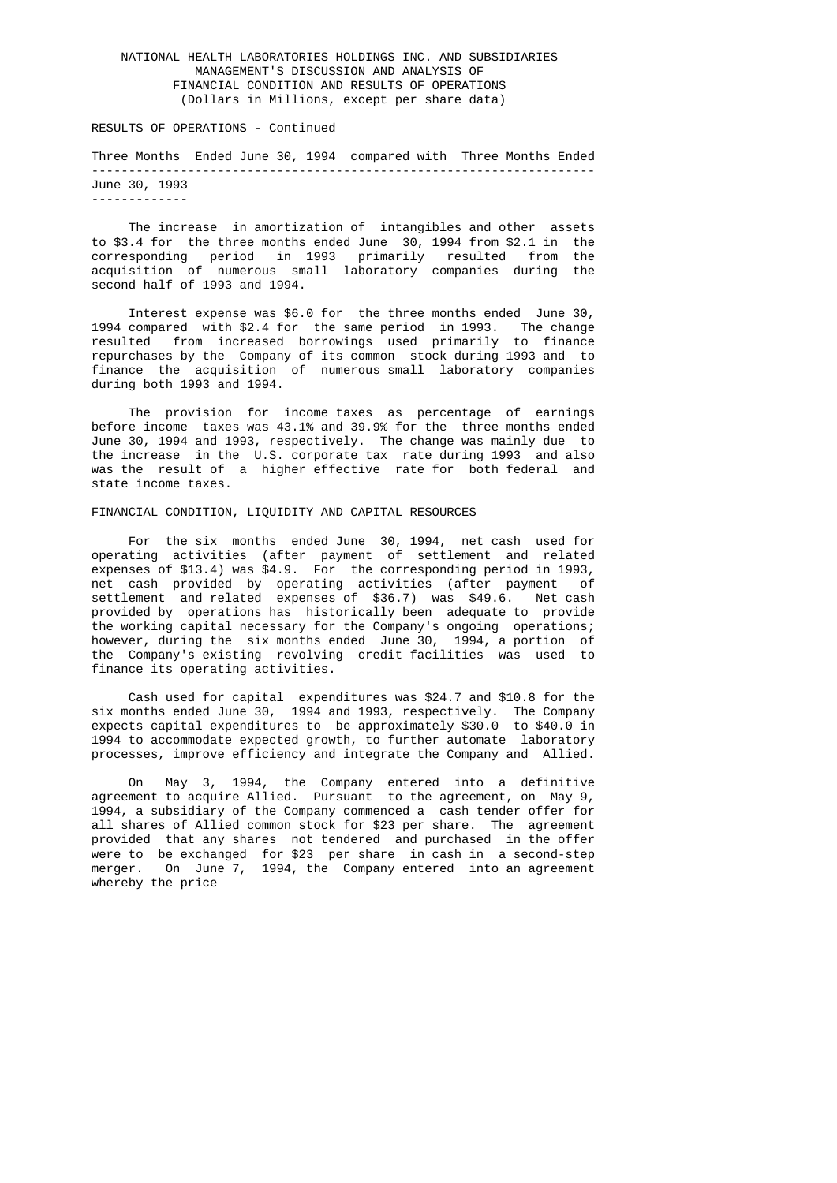## NATIONAL HEALTH LABORATORIES HOLDINGS INC. AND SUBSIDIARIES MANAGEMENT'S DISCUSSION AND ANALYSIS OF FINANCIAL CONDITION AND RESULTS OF OPERATIONS (Dollars in Millions, except per share data)

#### RESULTS OF OPERATIONS - Continued

 Three Months Ended June 30, 1994 compared with Three Months Ended -------------------------------------------------------------------- June 30, 1993 -------------

 The increase in amortization of intangibles and other assets to \$3.4 for the three months ended June 30, 1994 from \$2.1 in the corresponding period in 1993 primarily resulted from the acquisition of numerous small laboratory companies during the second half of 1993 and 1994.

 Interest expense was \$6.0 for the three months ended June 30, 1994 compared with \$2.4 for the same period in 1993. The change resulted from increased borrowings used primarily to finance repurchases by the Company of its common stock during 1993 and to finance the acquisition of numerous small laboratory companies during both 1993 and 1994.

> The provision for income taxes as percentage of earnings before income taxes was 43.1% and 39.9% for the three months ended June 30, 1994 and 1993, respectively. The change was mainly due to the increase in the U.S. corporate tax rate during 1993 and also was the result of a higher effective rate for both federal and state income taxes.

#### FINANCIAL CONDITION, LIQUIDITY AND CAPITAL RESOURCES

 For the six months ended June 30, 1994, net cash used for operating activities (after payment of settlement and related expenses of \$13.4) was \$4.9. For the corresponding period in 1993, net cash provided by operating activities (after payment of settlement and related expenses of \$36.7) was \$49.6. Net cash provided by operations has historically been adequate to provide the working capital necessary for the Company's ongoing operations; however, during the six months ended June 30, 1994, a portion of the Company's existing revolving credit facilities was used to finance its operating activities.

 Cash used for capital expenditures was \$24.7 and \$10.8 for the six months ended June 30, 1994 and 1993, respectively. The Company expects capital expenditures to be approximately \$30.0 to \$40.0 in 1994 to accommodate expected growth, to further automate laboratory processes, improve efficiency and integrate the Company and Allied.

 On May 3, 1994, the Company entered into a definitive agreement to acquire Allied. Pursuant to the agreement, on May 9, 1994, a subsidiary of the Company commenced a cash tender offer for all shares of Allied common stock for \$23 per share. The agreement provided that any shares not tendered and purchased in the offer were to be exchanged for \$23 per share in cash in a second-step merger. On June 7, 1994, the Company entered into an agreement whereby the price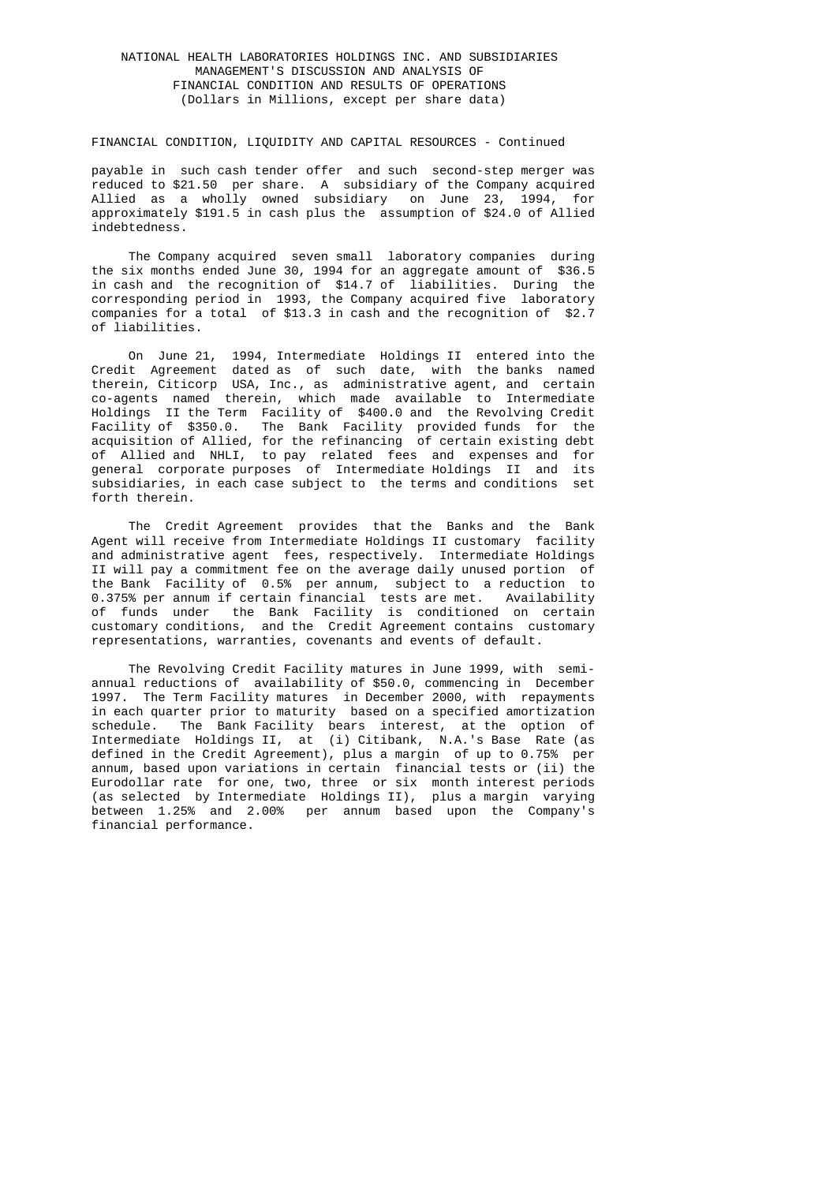## NATIONAL HEALTH LABORATORIES HOLDINGS INC. AND SUBSIDIARIES MANAGEMENT'S DISCUSSION AND ANALYSIS OF FINANCIAL CONDITION AND RESULTS OF OPERATIONS (Dollars in Millions, except per share data)

#### FINANCIAL CONDITION, LIQUIDITY AND CAPITAL RESOURCES - Continued

 payable in such cash tender offer and such second-step merger was reduced to \$21.50 per share. A subsidiary of the Company acquired Allied as a wholly owned subsidiary on June 23, 1994, for approximately \$191.5 in cash plus the assumption of \$24.0 of Allied indebtedness.

> The Company acquired seven small laboratory companies during the six months ended June 30, 1994 for an aggregate amount of \$36.5 in cash and the recognition of \$14.7 of liabilities. During the corresponding period in 1993, the Company acquired five laboratory companies for a total of \$13.3 in cash and the recognition of \$2.7 of liabilities.

 On June 21, 1994, Intermediate Holdings II entered into the Credit Agreement dated as of such date, with the banks named therein, Citicorp USA, Inc., as administrative agent, and certain co-agents named therein, which made available to Intermediate Holdings II the Term Facility of \$400.0 and the Revolving Credit Facility of \$350.0. The Bank Facility provided funds for the acquisition of Allied, for the refinancing of certain existing debt of Allied and NHLI, to pay related fees and expenses and for general corporate purposes of Intermediate Holdings II and its subsidiaries, in each case subject to the terms and conditions set forth therein.

 The Credit Agreement provides that the Banks and the Bank Agent will receive from Intermediate Holdings II customary facility and administrative agent fees, respectively. Intermediate Holdings II will pay a commitment fee on the average daily unused portion of the Bank Facility of 0.5% per annum, subject to a reduction to 0.375% per annum if certain financial tests are met. Availability of funds under the Bank Facility is conditioned on certain customary conditions, and the Credit Agreement contains customary representations, warranties, covenants and events of default.

 The Revolving Credit Facility matures in June 1999, with semi annual reductions of availability of \$50.0, commencing in December 1997. The Term Facility matures in December 2000, with repayments in each quarter prior to maturity based on a specified amortization schedule. The Bank Facility bears interest, at the option of Intermediate Holdings II, at (i) Citibank, N.A.'s Base Rate (as defined in the Credit Agreement), plus a margin of up to 0.75% per annum, based upon variations in certain financial tests or (ii) the Eurodollar rate for one, two, three or six month interest periods (as selected by Intermediate Holdings II), plus a margin varying between 1.25% and 2.00% per annum based upon the Company's financial performance.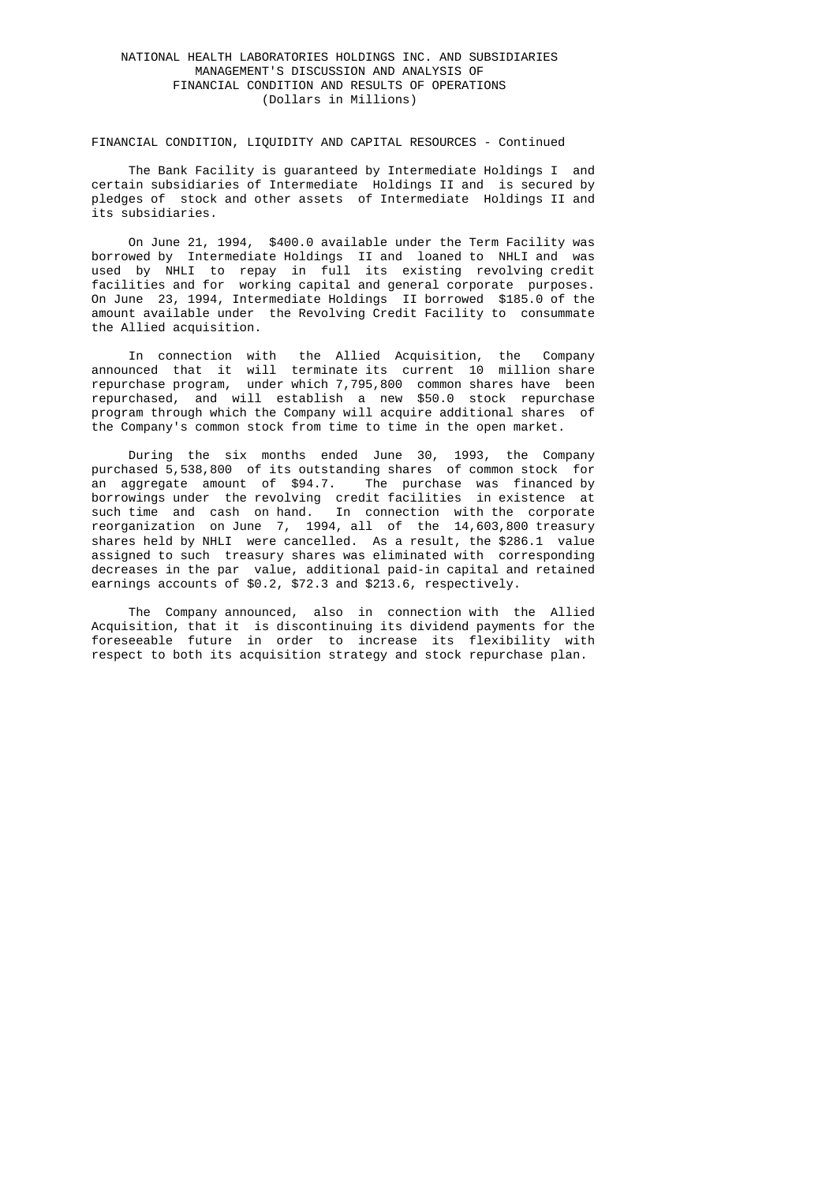## NATIONAL HEALTH LABORATORIES HOLDINGS INC. AND SUBSIDIARIES MANAGEMENT'S DISCUSSION AND ANALYSIS OF FINANCIAL CONDITION AND RESULTS OF OPERATIONS (Dollars in Millions)

### FINANCIAL CONDITION, LIQUIDITY AND CAPITAL RESOURCES - Continued

 The Bank Facility is guaranteed by Intermediate Holdings I and certain subsidiaries of Intermediate Holdings II and is secured by pledges of stock and other assets of Intermediate Holdings II and its subsidiaries.

 On June 21, 1994, \$400.0 available under the Term Facility was borrowed by Intermediate Holdings II and loaned to NHLI and was used by NHLI to repay in full its existing revolving credit facilities and for working capital and general corporate purposes. On June 23, 1994, Intermediate Holdings II borrowed \$185.0 of the amount available under the Revolving Credit Facility to consummate the Allied acquisition.

 In connection with the Allied Acquisition, the Company announced that it will terminate its current 10 million share repurchase program, under which 7,795,800 common shares have been repurchased, and will establish a new \$50.0 stock repurchase program through which the Company will acquire additional shares of the Company's common stock from time to time in the open market.

 During the six months ended June 30, 1993, the Company purchased 5,538,800 of its outstanding shares of common stock for an aggregate amount of \$94.7. The purchase was financed by borrowings under the revolving credit facilities in existence at such time and cash on hand. In connection with the corporate reorganization on June 7, 1994, all of the 14,603,800 treasury shares held by NHLI were cancelled. As a result, the \$286.1 value assigned to such treasury shares was eliminated with corresponding decreases in the par value, additional paid-in capital and retained earnings accounts of \$0.2, \$72.3 and \$213.6, respectively.

> The Company announced, also in connection with the Allied Acquisition, that it is discontinuing its dividend payments for the foreseeable future in order to increase its flexibility with respect to both its acquisition strategy and stock repurchase plan.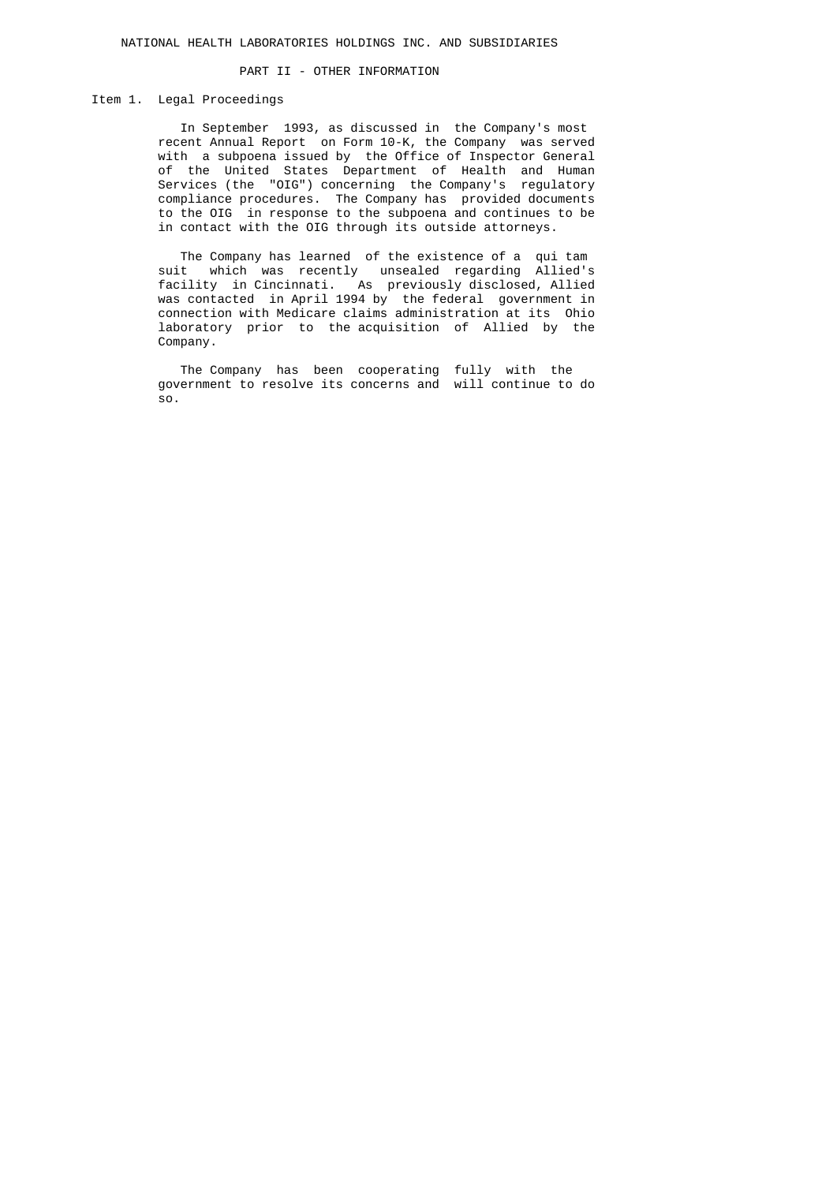## PART II - OTHER INFORMATION

# Item 1. Legal Proceedings

 In September 1993, as discussed in the Company's most recent Annual Report on Form 10-K, the Company was served with a subpoena issued by the Office of Inspector General of the United States Department of Health and Human Services (the "OIG") concerning the Company's regulatory compliance procedures. The Company has provided documents to the OIG in response to the subpoena and continues to be in contact with the OIG through its outside attorneys.

 The Company has learned of the existence of a qui tam suit which was recently unsealed regarding Allied's facility in Cincinnati. As previously disclosed, Allied was contacted in April 1994 by the federal government in connection with Medicare claims administration at its Ohio laboratory prior to the acquisition of Allied by the Company.

 The Company has been cooperating fully with the government to resolve its concerns and will continue to do so.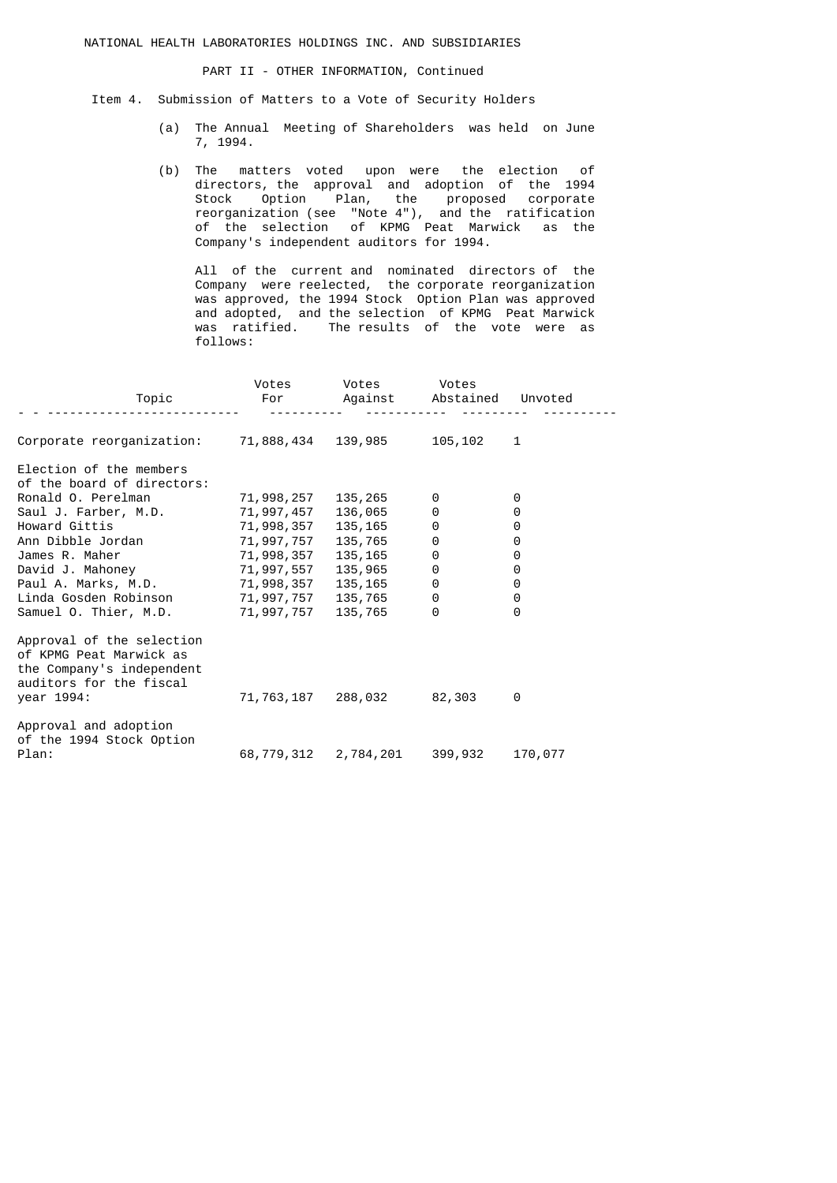NATIONAL HEALTH LABORATORIES HOLDINGS INC. AND SUBSIDIARIES

PART II - OTHER INFORMATION, Continued

Item 4. Submission of Matters to a Vote of Security Holders

- (a) The Annual Meeting of Shareholders was held on June 7, 1994.
- (b) The matters voted upon were the election of directors, the approval and adoption of the 1994 Stock Option Plan, the proposed corporate reorganization (see "Note 4"), and the ratification of the selection of KPMG Peat Marwick as the Company's independent auditors for 1994.

 All of the current and nominated directors of the Company were reelected, the corporate reorganization was approved, the 1994 Stock Option Plan was approved and adopted, and the selection of KPMG Peat Marwick was ratified. The results of the vote were as follows:

| Topic                                                                                                        | Votes<br>For | Votes<br>Against | Votes<br>Abstained | Unvoted  |
|--------------------------------------------------------------------------------------------------------------|--------------|------------------|--------------------|----------|
| Corporate reorganization:                                                                                    | 71,888,434   | 139,985          | 105, 102           | 1        |
| Election of the members<br>of the board of directors:                                                        |              |                  |                    |          |
| Ronald O. Perelman                                                                                           | 71,998,257   | 135, 265         | 0                  | 0        |
| Saul J. Farber, M.D.                                                                                         | 71,997,457   | 136,065          | 0                  | 0        |
| Howard Gittis                                                                                                | 71,998,357   | 135,165          | 0                  | 0        |
| Ann Dibble Jordan                                                                                            | 71,997,757   | 135,765          | 0                  | 0        |
| James R. Maher                                                                                               | 71,998,357   | 135, 165         | 0                  | 0        |
| David J. Mahoney                                                                                             | 71,997,557   | 135,965          | 0                  | 0        |
| Paul A. Marks, M.D.                                                                                          | 71,998,357   | 135, 165         | 0                  | 0        |
| Linda Gosden Robinson                                                                                        | 71,997,757   | 135,765          | 0                  | 0        |
| Samuel O. Thier, M.D.                                                                                        | 71,997,757   | 135,765          | 0                  | $\Theta$ |
| Approval of the selection<br>of KPMG Peat Marwick as<br>the Company's independent<br>auditors for the fiscal |              |                  |                    |          |
| year 1994:                                                                                                   | 71,763,187   | 288,032          | 82,303             | 0        |
| Approval and adoption<br>of the 1994 Stock Option                                                            |              |                  |                    |          |
| Plan:                                                                                                        | 68,779,312   | 2,784,201        | 399,932            | 170,077  |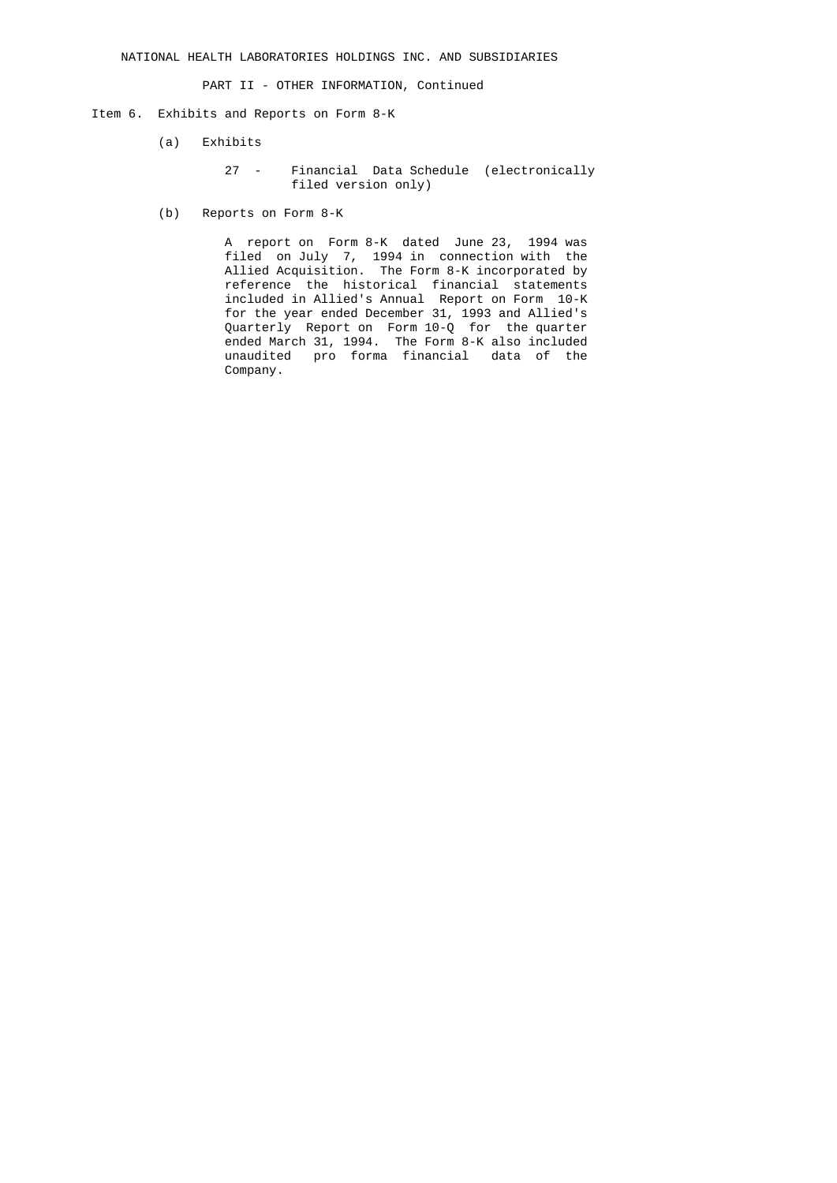PART II - OTHER INFORMATION, Continued

- Item 6. Exhibits and Reports on Form 8-K
	- (a) Exhibits
		- 27 Financial Data Schedule (electronically filed version only)
	- (b) Reports on Form 8-K

 A report on Form 8-K dated June 23, 1994 was filed on July 7, 1994 in connection with the Allied Acquisition. The Form 8-K incorporated by reference the historical financial statements included in Allied's Annual Report on Form 10-K for the year ended December 31, 1993 and Allied's Quarterly Report on Form 10-Q for the quarter ended March 31, 1994. The Form 8-K also included unaudited pro forma financial data of the Company.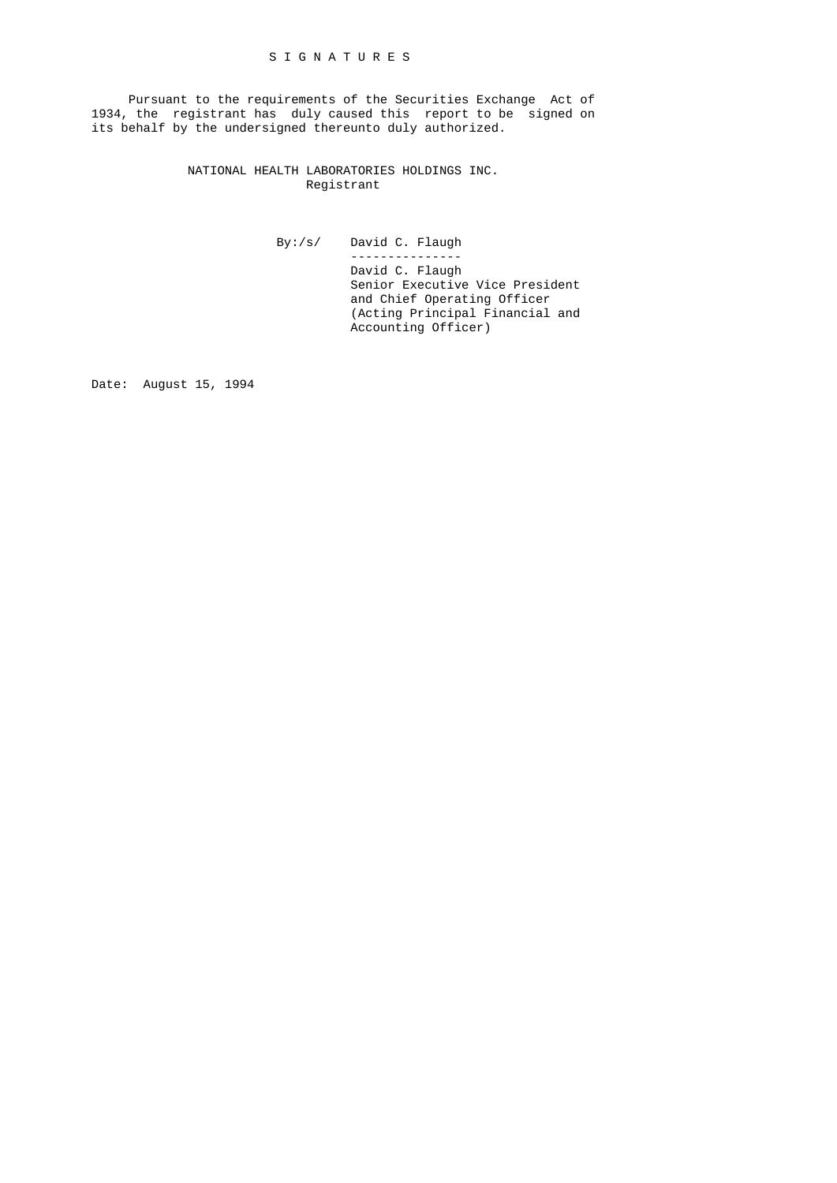Pursuant to the requirements of the Securities Exchange Act of 1934, the registrant has duly caused this report to be signed on its behalf by the undersigned thereunto duly authorized.

> NATIONAL HEALTH LABORATORIES HOLDINGS INC. Registrant

 By:/s/ David C. Flaugh --------------- David C. Flaugh Senior Executive Vice President and Chief Operating Officer (Acting Principal Financial and Accounting Officer)

Date: August 15, 1994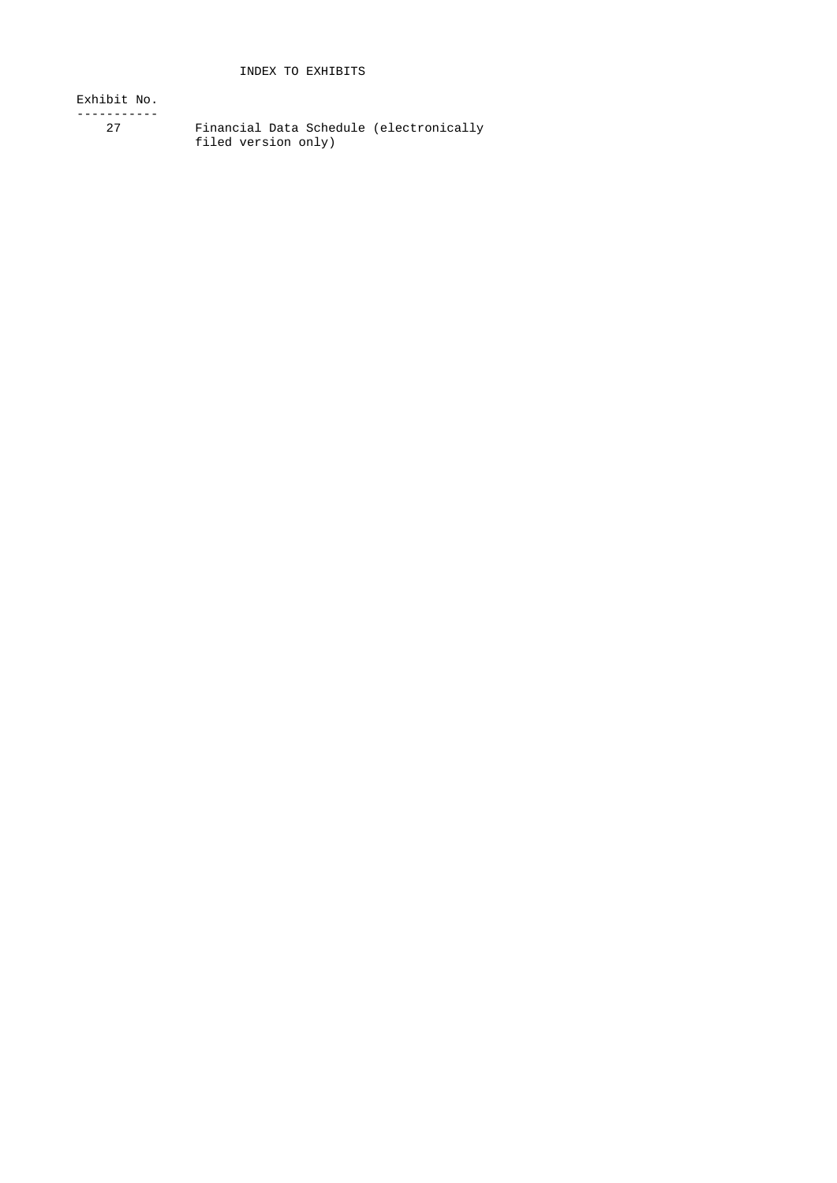Exhibit No.

-----------

 27 Financial Data Schedule (electronically filed version only)